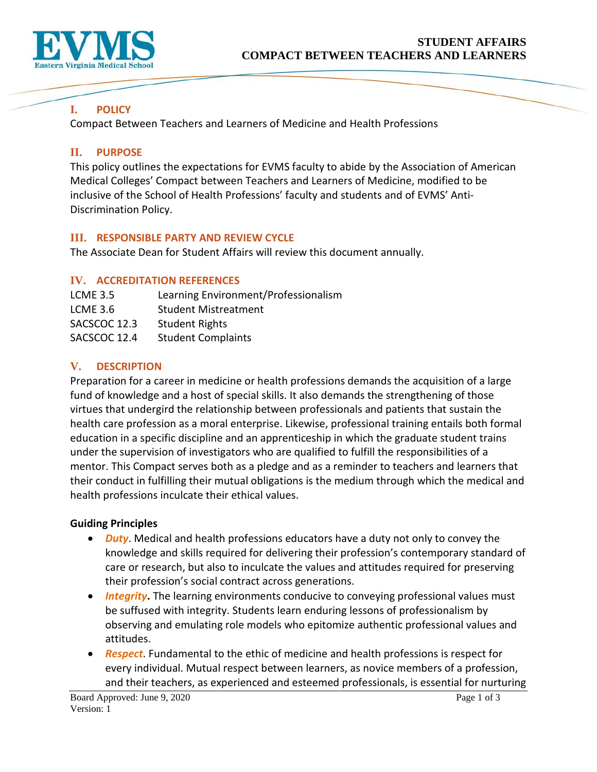

# **I. POLICY**

Compact Between Teachers and Learners of Medicine and Health Professions

## **II. PURPOSE**

This policy outlines the expectations for EVMS faculty to abide by the Association of American Medical Colleges' Compact between Teachers and Learners of Medicine, modified to be inclusive of the School of Health Professions' faculty and students and of EVMS' Anti-Discrimination Policy.

### **III. RESPONSIBLE PARTY AND REVIEW CYCLE**

The Associate Dean for Student Affairs will review this document annually.

### **IV. ACCREDITATION REFERENCES**

| <b>LCME 3.5</b> | Learning Environment/Professionalism |
|-----------------|--------------------------------------|
| LCME $3.6$      | <b>Student Mistreatment</b>          |
| SACSCOC 12.3    | <b>Student Rights</b>                |
| SACSCOC 12.4    | <b>Student Complaints</b>            |
|                 |                                      |

## **V. DESCRIPTION**

Preparation for a career in medicine or health professions demands the acquisition of a large fund of knowledge and a host of special skills. It also demands the strengthening of those virtues that undergird the relationship between professionals and patients that sustain the health care profession as a moral enterprise. Likewise, professional training entails both formal education in a specific discipline and an apprenticeship in which the graduate student trains under the supervision of investigators who are qualified to fulfill the responsibilities of a mentor. This Compact serves both as a pledge and as a reminder to teachers and learners that their conduct in fulfilling their mutual obligations is the medium through which the medical and health professions inculcate their ethical values.

#### **Guiding Principles**

- *Duty*. Medical and health professions educators have a duty not only to convey the knowledge and skills required for delivering their profession's contemporary standard of care or research, but also to inculcate the values and attitudes required for preserving their profession's social contract across generations.
- *Integrity***.** The learning environments conducive to conveying professional values must be suffused with integrity. Students learn enduring lessons of professionalism by observing and emulating role models who epitomize authentic professional values and attitudes.
- *Respect*. Fundamental to the ethic of medicine and health professions is respect for every individual. Mutual respect between learners, as novice members of a profession, and their teachers, as experienced and esteemed professionals, is essential for nurturing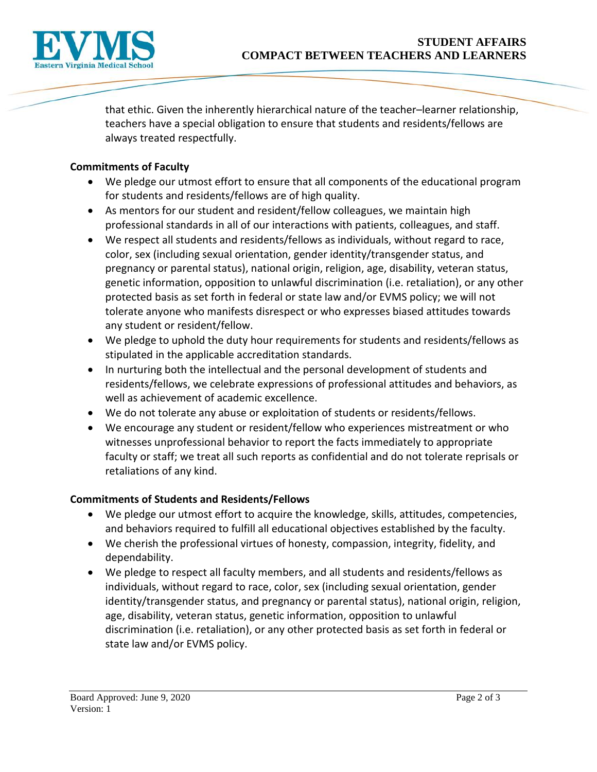

that ethic. Given the inherently hierarchical nature of the teacher–learner relationship, teachers have a special obligation to ensure that students and residents/fellows are always treated respectfully.

#### **Commitments of Faculty**

- We pledge our utmost effort to ensure that all components of the educational program for students and residents/fellows are of high quality.
- As mentors for our student and resident/fellow colleagues, we maintain high professional standards in all of our interactions with patients, colleagues, and staff.
- We respect all students and residents/fellows as individuals, without regard to race, color, sex (including sexual orientation, gender identity/transgender status, and pregnancy or parental status), national origin, religion, age, disability, veteran status, genetic information, opposition to unlawful discrimination (i.e. retaliation), or any other protected basis as set forth in federal or state law and/or EVMS policy; we will not tolerate anyone who manifests disrespect or who expresses biased attitudes towards any student or resident/fellow.
- We pledge to uphold the duty hour requirements for students and residents/fellows as stipulated in the applicable accreditation standards.
- In nurturing both the intellectual and the personal development of students and residents/fellows, we celebrate expressions of professional attitudes and behaviors, as well as achievement of academic excellence.
- We do not tolerate any abuse or exploitation of students or residents/fellows.
- We encourage any student or resident/fellow who experiences mistreatment or who witnesses unprofessional behavior to report the facts immediately to appropriate faculty or staff; we treat all such reports as confidential and do not tolerate reprisals or retaliations of any kind.

#### **Commitments of Students and Residents/Fellows**

- We pledge our utmost effort to acquire the knowledge, skills, attitudes, competencies, and behaviors required to fulfill all educational objectives established by the faculty.
- We cherish the professional virtues of honesty, compassion, integrity, fidelity, and dependability.
- We pledge to respect all faculty members, and all students and residents/fellows as individuals, without regard to race, color, sex (including sexual orientation, gender identity/transgender status, and pregnancy or parental status), national origin, religion, age, disability, veteran status, genetic information, opposition to unlawful discrimination (i.e. retaliation), or any other protected basis as set forth in federal or state law and/or EVMS policy.